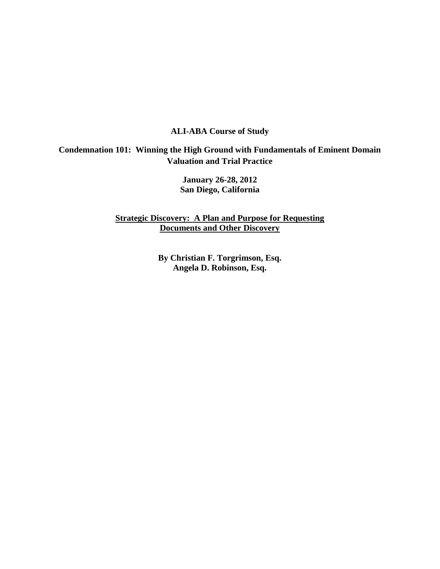## **ALI-ABA Course of Study**

## **Condemnation 101: Winning the High Ground with Fundamentals of Eminent Domain Valuation and Trial Practice**

**January 26-28, 2012 San Diego, California** 

**Strategic Discovery: A Plan and Purpose for Requesting Documents and Other Discovery**

> <span id="page-0-0"></span>**By Christian F. Torgrimson, Esq. Angela D. Robinson, Esq.**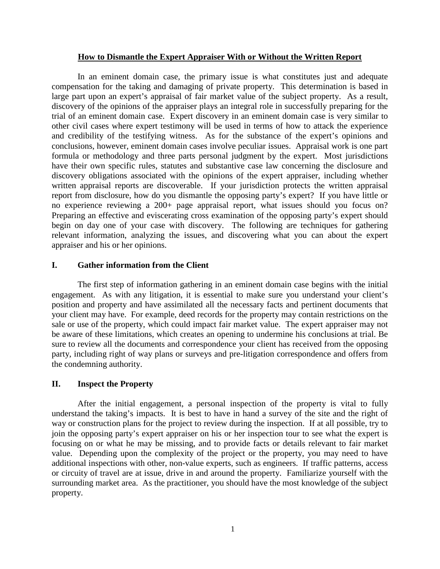#### **How to Dismantle the Expert Appraiser With or Without the Written Report**

In an eminent domain case, the primary issue is what constitutes just and adequate compensation for the taking and damaging of private property. This determination is based in large part upon an expert's appraisal of fair market value of the subject property. As a result, discovery of the opinions of the appraiser plays an integral role in successfully preparing for the trial of an eminent domain case. Expert discovery in an eminent domain case is very similar to other civil cases where expert testimony will be used in terms of how to attack the experience and credibility of the testifying witness. As for the substance of the expert's opinions and conclusions, however, eminent domain cases involve peculiar issues. Appraisal work is one part formula or methodology and three parts personal judgment by the expert. Most jurisdictions have their own specific rules, statutes and substantive case law concerning the disclosure and discovery obligations associated with the opinions of the expert appraiser, including whether written appraisal reports are discoverable. If your jurisdiction protects the written appraisal report from disclosure, how do you dismantle the opposing party's expert? If you have little or no experience reviewing a 200+ page appraisal report, what issues should you focus on? Preparing an effective and eviscerating cross examination of the opposing party's expert should begin on day one of your case with discovery. The following are techniques for gathering relevant information, analyzing the issues, and discovering what you can about the expert appraiser and his or her opinions.

#### **I. Gather information from the Client**

The first step of information gathering in an eminent domain case begins with the initial engagement. As with any litigation, it is essential to make sure you understand your client's position and property and have assimilated all the necessary facts and pertinent documents that your client may have. For example, deed records for the property may contain restrictions on the sale or use of the property, which could impact fair market value. The expert appraiser may not be aware of these limitations, which creates an opening to undermine his conclusions at trial. Be sure to review all the documents and correspondence your client has received from the opposing party, including right of way plans or surveys and pre-litigation correspondence and offers from the condemning authority.

#### **II. Inspect the Property**

After the initial engagement, a personal inspection of the property is vital to fully understand the taking's impacts. It is best to have in hand a survey of the site and the right of way or construction plans for the project to review during the inspection. If at all possible, try to join the opposing party's expert appraiser on his or her inspection tour to see what the expert is focusing on or what he may be missing, and to provide facts or details relevant to fair market value. Depending upon the complexity of the project or the property, you may need to have additional inspections with other, non-value experts, such as engineers. If traffic patterns, access or circuity of travel are at issue, drive in and around the property. Familiarize yourself with the surrounding market area. As the practitioner, you should have the most knowledge of the subject property.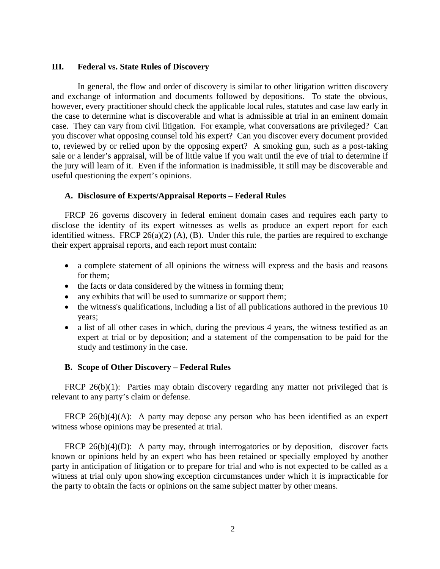#### **III. Federal vs. State Rules of Discovery**

In general, the flow and order of discovery is similar to other litigation written discovery and exchange of information and documents followed by depositions. To state the obvious, however, every practitioner should check the applicable local rules, statutes and case law early in the case to determine what is discoverable and what is admissible at trial in an eminent domain case. They can vary from civil litigation. For example, what conversations are privileged? Can you discover what opposing counsel told his expert? Can you discover every document provided to, reviewed by or relied upon by the opposing expert? A smoking gun, such as a post-taking sale or a lender's appraisal, will be of little value if you wait until the eve of trial to determine if the jury will learn of it. Even if the information is inadmissible, it still may be discoverable and useful questioning the expert's opinions.

### **A. Disclosure of Experts/Appraisal Reports – Federal Rules**

FRCP 26 governs discovery in federal eminent domain cases and requires each party to disclose the identity of its expert witnesses as wells as produce an expert report for each identified witness. FRCP  $26(a)(2)$  (A), (B). Under this rule, the parties are required to exchange their expert appraisal reports, and each report must contain:

- a complete statement of all opinions the witness will express and the basis and reasons for them;
- the facts or data considered by the witness in forming them;
- any exhibits that will be used to summarize or support them;
- the witness's qualifications, including a list of all publications authored in the previous 10 years;
- a list of all other cases in which, during the previous 4 years, the witness testified as an expert at trial or by deposition; and a statement of the compensation to be paid for the study and testimony in the case.

#### **B. Scope of Other Discovery – Federal Rules**

FRCP 26(b)(1): Parties may obtain discovery regarding any matter not privileged that is relevant to any party's claim or defense.

FRCP 26(b)(4)(A): A party may depose any person who has been identified as an expert witness whose opinions may be presented at trial.

FRCP 26(b)(4)(D): A party may, through interrogatories or by deposition, discover facts known or opinions held by an expert who has been retained or specially employed by another party in anticipation of litigation or to prepare for trial and who is not expected to be called as a witness at trial only upon showing exception circumstances under which it is impracticable for the party to obtain the facts or opinions on the same subject matter by other means.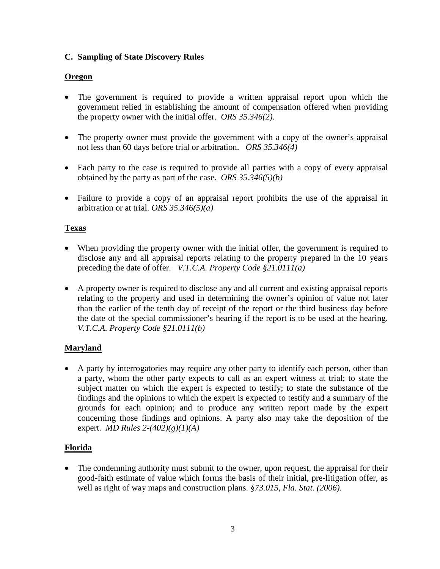## **C. Sampling of State Discovery Rules**

## **Oregon**

- The government is required to provide a written appraisal report upon which the government relied in establishing the amount of compensation offered when providing the property owner with the initial offer. *ORS 35.346(2)*.
- The property owner must provide the government with a copy of the owner's appraisal not less than 60 days before trial or arbitration. *ORS 35.346(4)*
- Each party to the case is required to provide all parties with a copy of every appraisal obtained by the party as part of the case. *ORS 35.346(5)(b)*
- Failure to provide a copy of an appraisal report prohibits the use of the appraisal in arbitration or at trial. *ORS 35.346(5)(a)*

## **Texas**

- When providing the property owner with the initial offer, the government is required to disclose any and all appraisal reports relating to the property prepared in the 10 years preceding the date of offer. *V.T.C.A. Property Code §21.0111(a)*
- A property owner is required to disclose any and all current and existing appraisal reports relating to the property and used in determining the owner's opinion of value not later than the earlier of the tenth day of receipt of the report or the third business day before the date of the special commissioner's hearing if the report is to be used at the hearing. *V.T.C.A. Property Code §21.0111(b)*

## **Maryland**

• A party by interrogatories may require any other party to identify each person, other than a party, whom the other party expects to call as an expert witness at trial; to state the subject matter on which the expert is expected to testify; to state the substance of the findings and the opinions to which the expert is expected to testify and a summary of the grounds for each opinion; and to produce any written report made by the expert concerning those findings and opinions. A party also may take the deposition of the expert. *MD Rules 2-(402)(g)(1)(A)*

## **Florida**

• The condemning authority must submit to the owner, upon request, the appraisal for their good-faith estimate of value which forms the basis of their initial, pre-litigation offer, as well as right of way maps and construction plans. *§73.015, Fla. Stat. (2006)*.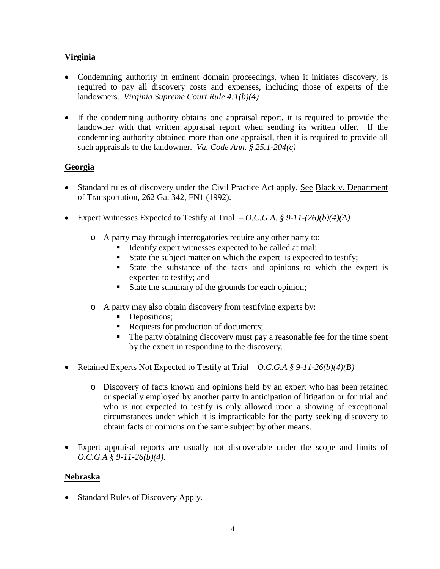# **Virginia**

- Condemning authority in eminent domain proceedings, when it initiates discovery, is required to pay all discovery costs and expenses, including those of experts of the landowners. *Virginia Supreme Court Rule 4:1(b)(4)*
- If the condemning authority obtains one appraisal report, it is required to provide the landowner with that written appraisal report when sending its written offer. If the condemning authority obtained more than one appraisal, then it is required to provide all such appraisals to the landowner. *Va. Code Ann. § 25.1-204(c)*

## **Georgia**

- Standard rules of discovery under the Civil Practice Act apply. See Black v. Department of Transportation, 262 Ga. 342, FN1 (1992).
- Expert Witnesses Expected to Testify at Trial  $-$  *O.C.G.A.* § 9-11-(26)(b)(4)(A)
	- o A party may through interrogatories require any other party to:
		- Identify expert witnesses expected to be called at trial;
		- State the subject matter on which the expert is expected to testify;
		- State the substance of the facts and opinions to which the expert is expected to testify; and
		- State the summary of the grounds for each opinion;
	- o A party may also obtain discovery from testifying experts by:
		- Depositions:
		- Requests for production of documents;
		- The party obtaining discovery must pay a reasonable fee for the time spent by the expert in responding to the discovery.
- Retained Experts Not Expected to Testify at Trial *O.C.G.A § 9-11-26(b)(4)(B)*
	- o Discovery of facts known and opinions held by an expert who has been retained or specially employed by another party in anticipation of litigation or for trial and who is not expected to testify is only allowed upon a showing of exceptional circumstances under which it is impracticable for the party seeking discovery to obtain facts or opinions on the same subject by other means.
- Expert appraisal reports are usually not discoverable under the scope and limits of *O.C.G.A § 9-11-26(b)(4)*.

## **Nebraska**

• Standard Rules of Discovery Apply.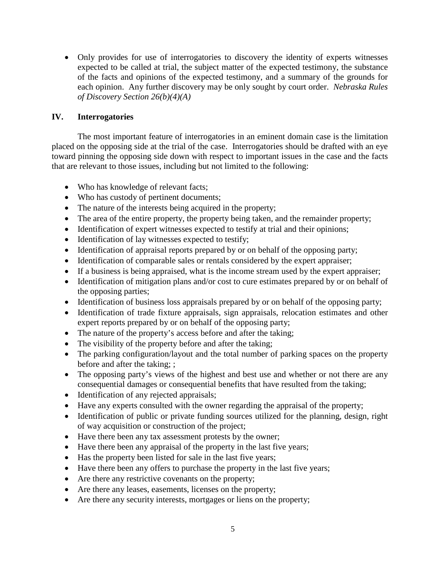• Only provides for use of interrogatories to discovery the identity of experts witnesses expected to be called at trial, the subject matter of the expected testimony, the substance of the facts and opinions of the expected testimony, and a summary of the grounds for each opinion. Any further discovery may be only sought by court order. *Nebraska Rules of Discovery Section 26(b)(4)(A)*

## **IV. Interrogatories**

The most important feature of interrogatories in an eminent domain case is the limitation placed on the opposing side at the trial of the case. Interrogatories should be drafted with an eye toward pinning the opposing side down with respect to important issues in the case and the facts that are relevant to those issues, including but not limited to the following:

- Who has knowledge of relevant facts;
- Who has custody of pertinent documents;
- The nature of the interests being acquired in the property;
- The area of the entire property, the property being taken, and the remainder property;
- Identification of expert witnesses expected to testify at trial and their opinions;
- Identification of lay witnesses expected to testify;
- Identification of appraisal reports prepared by or on behalf of the opposing party;
- Identification of comparable sales or rentals considered by the expert appraiser;
- If a business is being appraised, what is the income stream used by the expert appraiser;
- Identification of mitigation plans and/or cost to cure estimates prepared by or on behalf of the opposing parties;
- Identification of business loss appraisals prepared by or on behalf of the opposing party;
- Identification of trade fixture appraisals, sign appraisals, relocation estimates and other expert reports prepared by or on behalf of the opposing party;
- The nature of the property's access before and after the taking;
- The visibility of the property before and after the taking;
- The parking configuration/layout and the total number of parking spaces on the property before and after the taking; ;
- The opposing party's views of the highest and best use and whether or not there are any consequential damages or consequential benefits that have resulted from the taking;
- Identification of any rejected appraisals;
- Have any experts consulted with the owner regarding the appraisal of the property;
- Identification of public or private funding sources utilized for the planning, design, right of way acquisition or construction of the project;
- Have there been any tax assessment protests by the owner;
- Have there been any appraisal of the property in the last five years;
- Has the property been listed for sale in the last five years;
- Have there been any offers to purchase the property in the last five years;
- Are there any restrictive covenants on the property;
- Are there any leases, easements, licenses on the property;
- Are there any security interests, mortgages or liens on the property;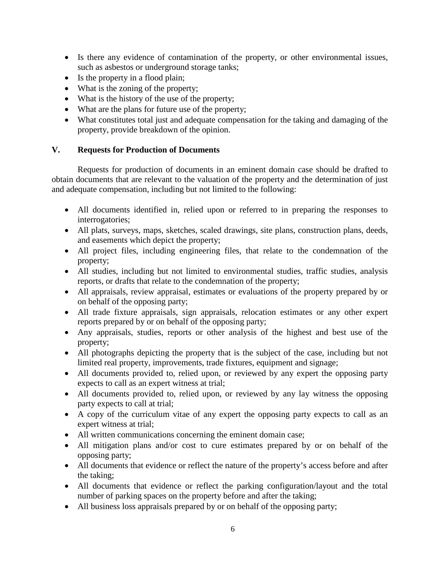- Is there any evidence of contamination of the property, or other environmental issues, such as asbestos or underground storage tanks;
- Is the property in a flood plain;
- What is the zoning of the property;
- What is the history of the use of the property;
- What are the plans for future use of the property;
- What constitutes total just and adequate compensation for the taking and damaging of the property, provide breakdown of the opinion.

## **V. Requests for Production of Documents**

Requests for production of documents in an eminent domain case should be drafted to obtain documents that are relevant to the valuation of the property and the determination of just and adequate compensation, including but not limited to the following:

- All documents identified in, relied upon or referred to in preparing the responses to interrogatories;
- All plats, surveys, maps, sketches, scaled drawings, site plans, construction plans, deeds, and easements which depict the property;
- All project files, including engineering files, that relate to the condemnation of the property;
- All studies, including but not limited to environmental studies, traffic studies, analysis reports, or drafts that relate to the condemnation of the property;
- All appraisals, review appraisal, estimates or evaluations of the property prepared by or on behalf of the opposing party;
- All trade fixture appraisals, sign appraisals, relocation estimates or any other expert reports prepared by or on behalf of the opposing party;
- Any appraisals, studies, reports or other analysis of the highest and best use of the property;
- All photographs depicting the property that is the subject of the case, including but not limited real property, improvements, trade fixtures, equipment and signage;
- All documents provided to, relied upon, or reviewed by any expert the opposing party expects to call as an expert witness at trial;
- All documents provided to, relied upon, or reviewed by any lay witness the opposing party expects to call at trial;
- A copy of the curriculum vitae of any expert the opposing party expects to call as an expert witness at trial;
- All written communications concerning the eminent domain case;
- All mitigation plans and/or cost to cure estimates prepared by or on behalf of the opposing party;
- All documents that evidence or reflect the nature of the property's access before and after the taking;
- All documents that evidence or reflect the parking configuration/layout and the total number of parking spaces on the property before and after the taking;
- All business loss appraisals prepared by or on behalf of the opposing party;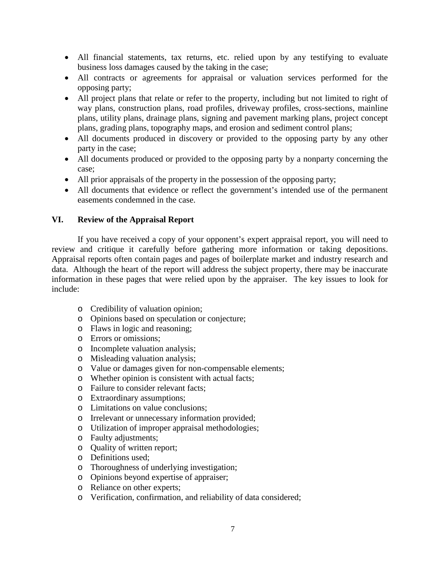- All financial statements, tax returns, etc. relied upon by any testifying to evaluate business loss damages caused by the taking in the case;
- All contracts or agreements for appraisal or valuation services performed for the opposing party;
- All project plans that relate or refer to the property, including but not limited to right of way plans, construction plans, road profiles, driveway profiles, cross-sections, mainline plans, utility plans, drainage plans, signing and pavement marking plans, project concept plans, grading plans, topography maps, and erosion and sediment control plans;
- All documents produced in discovery or provided to the opposing party by any other party in the case;
- All documents produced or provided to the opposing party by a nonparty concerning the case;
- All prior appraisals of the property in the possession of the opposing party;
- All documents that evidence or reflect the government's intended use of the permanent easements condemned in the case.

### **VI. Review of the Appraisal Report**

If you have received a copy of your opponent's expert appraisal report, you will need to review and critique it carefully before gathering more information or taking depositions. Appraisal reports often contain pages and pages of boilerplate market and industry research and data. Although the heart of the report will address the subject property, there may be inaccurate information in these pages that were relied upon by the appraiser. The key issues to look for include:

- o Credibility of valuation opinion;
- o Opinions based on speculation or conjecture;
- o Flaws in logic and reasoning;
- o Errors or omissions;
- o Incomplete valuation analysis;
- o Misleading valuation analysis;
- o Value or damages given for non-compensable elements;
- o Whether opinion is consistent with actual facts;
- o Failure to consider relevant facts;
- o Extraordinary assumptions;
- o Limitations on value conclusions;
- o Irrelevant or unnecessary information provided;
- o Utilization of improper appraisal methodologies;
- o Faulty adjustments;
- o Quality of written report;
- o Definitions used;
- o Thoroughness of underlying investigation;
- o Opinions beyond expertise of appraiser;
- o Reliance on other experts;
- o Verification, confirmation, and reliability of data considered;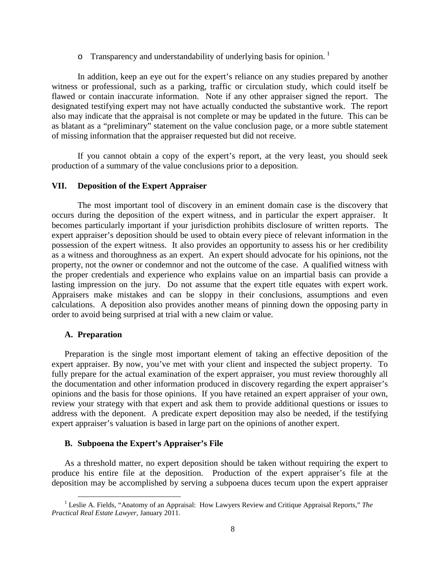$\circ$  Transparency and understandability of underlying basis for opinion.<sup>[1](#page-0-0)</sup>

In addition, keep an eye out for the expert's reliance on any studies prepared by another witness or professional, such as a parking, traffic or circulation study, which could itself be flawed or contain inaccurate information. Note if any other appraiser signed the report. The designated testifying expert may not have actually conducted the substantive work. The report also may indicate that the appraisal is not complete or may be updated in the future. This can be as blatant as a "preliminary" statement on the value conclusion page, or a more subtle statement of missing information that the appraiser requested but did not receive.

If you cannot obtain a copy of the expert's report, at the very least, you should seek production of a summary of the value conclusions prior to a deposition.

#### **VII. Deposition of the Expert Appraiser**

The most important tool of discovery in an eminent domain case is the discovery that occurs during the deposition of the expert witness, and in particular the expert appraiser. It becomes particularly important if your jurisdiction prohibits disclosure of written reports. The expert appraiser's deposition should be used to obtain every piece of relevant information in the possession of the expert witness. It also provides an opportunity to assess his or her credibility as a witness and thoroughness as an expert. An expert should advocate for his opinions, not the property, not the owner or condemnor and not the outcome of the case. A qualified witness with the proper credentials and experience who explains value on an impartial basis can provide a lasting impression on the jury. Do not assume that the expert title equates with expert work. Appraisers make mistakes and can be sloppy in their conclusions, assumptions and even calculations. A deposition also provides another means of pinning down the opposing party in order to avoid being surprised at trial with a new claim or value.

#### **A. Preparation**

Preparation is the single most important element of taking an effective deposition of the expert appraiser. By now, you've met with your client and inspected the subject property. To fully prepare for the actual examination of the expert appraiser, you must review thoroughly all the documentation and other information produced in discovery regarding the expert appraiser's opinions and the basis for those opinions. If you have retained an expert appraiser of your own, review your strategy with that expert and ask them to provide additional questions or issues to address with the deponent. A predicate expert deposition may also be needed, if the testifying expert appraiser's valuation is based in large part on the opinions of another expert.

#### **B. Subpoena the Expert's Appraiser's File**

<span id="page-8-0"></span>As a threshold matter, no expert deposition should be taken without requiring the expert to produce his entire file at the deposition. Production of the expert appraiser's file at the deposition may be accomplished by serving a subpoena duces tecum upon the expert appraiser

<sup>&</sup>lt;sup>1</sup> Leslie A. Fields, "Anatomy of an Appraisal: How Lawyers Review and Critique Appraisal Reports," *The Practical Real Estate Lawyer*, January 2011.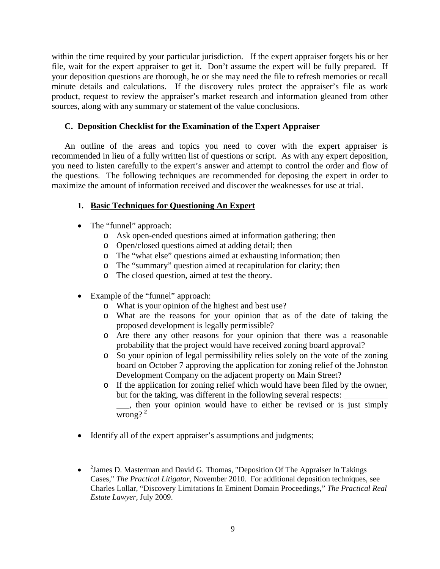within the time required by your particular jurisdiction. If the expert appraiser forgets his or her file, wait for the expert appraiser to get it. Don't assume the expert will be fully prepared. If your deposition questions are thorough, he or she may need the file to refresh memories or recall minute details and calculations. If the discovery rules protect the appraiser's file as work product, request to review the appraiser's market research and information gleaned from other sources, along with any summary or statement of the value conclusions.

### **C. Deposition Checklist for the Examination of the Expert Appraiser**

An outline of the areas and topics you need to cover with the expert appraiser is recommended in lieu of a fully written list of questions or script. As with any expert deposition, you need to listen carefully to the expert's answer and attempt to control the order and flow of the questions. The following techniques are recommended for deposing the expert in order to maximize the amount of information received and discover the weaknesses for use at trial.

## **1. Basic Techniques for Questioning An Expert**

• The "funnel" approach:

 $\overline{\phantom{a}}$ 

- o Ask open-ended questions aimed at information gathering; then
- o Open/closed questions aimed at adding detail; then
- o The "what else" questions aimed at exhausting information; then
- o The "summary" question aimed at recapitulation for clarity; then
- o The closed question, aimed at test the theory.
- Example of the "funnel" approach:
	- o What is your opinion of the highest and best use?
	- o What are the reasons for your opinion that as of the date of taking the proposed development is legally permissible?
	- o Are there any other reasons for your opinion that there was a reasonable probability that the project would have received zoning board approval?
	- o So your opinion of legal permissibility relies solely on the vote of the zoning board on October 7 approving the application for zoning relief of the Johnston Development Company on the adjacent property on Main Street?
	- o If the application for zoning relief which would have been filed by the owner, but for the taking, was different in the following several respects: , then your opinion would have to either be revised or is just simply wrong? **[2](#page-8-0)**
- Identify all of the expert appraiser's assumptions and judgments;

<sup>• &</sup>lt;sup>2</sup> James D. Masterman and David G. Thomas, "Deposition Of The Appraiser In Takings Cases," *The Practical Litigator,* November 2010. For additional deposition techniques, see Charles Lollar, "Discovery Limitations In Eminent Domain Proceedings," *The Practical Real Estate Lawyer*, July 2009.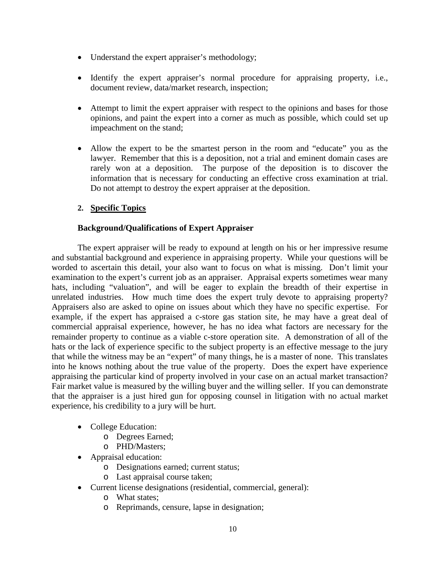- Understand the expert appraiser's methodology;
- Identify the expert appraiser's normal procedure for appraising property, i.e., document review, data/market research, inspection;
- Attempt to limit the expert appraiser with respect to the opinions and bases for those opinions, and paint the expert into a corner as much as possible, which could set up impeachment on the stand;
- Allow the expert to be the smartest person in the room and "educate" you as the lawyer. Remember that this is a deposition, not a trial and eminent domain cases are rarely won at a deposition. The purpose of the deposition is to discover the information that is necessary for conducting an effective cross examination at trial. Do not attempt to destroy the expert appraiser at the deposition.

### **2. Specific Topics**

### **Background/Qualifications of Expert Appraiser**

The expert appraiser will be ready to expound at length on his or her impressive resume and substantial background and experience in appraising property. While your questions will be worded to ascertain this detail, your also want to focus on what is missing. Don't limit your examination to the expert's current job as an appraiser. Appraisal experts sometimes wear many hats, including "valuation", and will be eager to explain the breadth of their expertise in unrelated industries. How much time does the expert truly devote to appraising property? Appraisers also are asked to opine on issues about which they have no specific expertise. For example, if the expert has appraised a c-store gas station site, he may have a great deal of commercial appraisal experience, however, he has no idea what factors are necessary for the remainder property to continue as a viable c-store operation site. A demonstration of all of the hats or the lack of experience specific to the subject property is an effective message to the jury that while the witness may be an "expert" of many things, he is a master of none. This translates into he knows nothing about the true value of the property. Does the expert have experience appraising the particular kind of property involved in your case on an actual market transaction? Fair market value is measured by the willing buyer and the willing seller. If you can demonstrate that the appraiser is a just hired gun for opposing counsel in litigation with no actual market experience, his credibility to a jury will be hurt.

- College Education:
	- o Degrees Earned;
	- o PHD/Masters;
- Appraisal education:
	- o Designations earned; current status;
	- o Last appraisal course taken;
- Current license designations (residential, commercial, general):
	- o What states;
	- o Reprimands, censure, lapse in designation;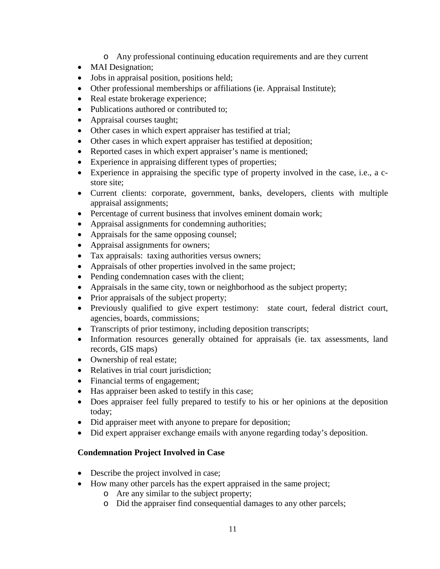- o Any professional continuing education requirements and are they current
- MAI Designation;
- Jobs in appraisal position, positions held;
- Other professional memberships or affiliations (ie. Appraisal Institute);
- Real estate brokerage experience;
- Publications authored or contributed to:
- Appraisal courses taught;
- Other cases in which expert appraiser has testified at trial;
- Other cases in which expert appraiser has testified at deposition;
- Reported cases in which expert appraiser's name is mentioned;
- Experience in appraising different types of properties;
- Experience in appraising the specific type of property involved in the case, i.e., a cstore site;
- Current clients: corporate, government, banks, developers, clients with multiple appraisal assignments;
- Percentage of current business that involves eminent domain work;
- Appraisal assignments for condemning authorities;
- Appraisals for the same opposing counsel;
- Appraisal assignments for owners;
- Tax appraisals: taxing authorities versus owners;
- Appraisals of other properties involved in the same project;
- Pending condemnation cases with the client;
- Appraisals in the same city, town or neighborhood as the subject property;
- Prior appraisals of the subject property;
- Previously qualified to give expert testimony: state court, federal district court, agencies, boards, commissions;
- Transcripts of prior testimony, including deposition transcripts;
- Information resources generally obtained for appraisals (ie. tax assessments, land records, GIS maps)
- Ownership of real estate;
- Relatives in trial court jurisdiction;
- Financial terms of engagement;
- Has appraiser been asked to testify in this case;
- Does appraiser feel fully prepared to testify to his or her opinions at the deposition today;
- Did appraiser meet with anyone to prepare for deposition;
- Did expert appraiser exchange emails with anyone regarding today's deposition.

# **Condemnation Project Involved in Case**

- Describe the project involved in case;
- How many other parcels has the expert appraised in the same project;
	- o Are any similar to the subject property;
	- o Did the appraiser find consequential damages to any other parcels;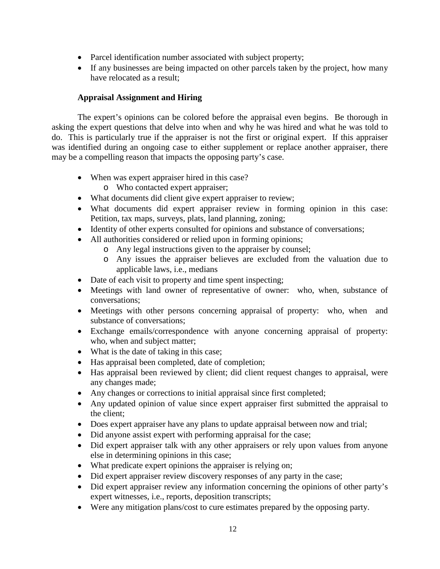- Parcel identification number associated with subject property;
- If any businesses are being impacted on other parcels taken by the project, how many have relocated as a result;

### **Appraisal Assignment and Hiring**

The expert's opinions can be colored before the appraisal even begins. Be thorough in asking the expert questions that delve into when and why he was hired and what he was told to do. This is particularly true if the appraiser is not the first or original expert. If this appraiser was identified during an ongoing case to either supplement or replace another appraiser, there may be a compelling reason that impacts the opposing party's case.

- When was expert appraiser hired in this case?
	- o Who contacted expert appraiser;
- What documents did client give expert appraiser to review;
- What documents did expert appraiser review in forming opinion in this case: Petition, tax maps, surveys, plats, land planning, zoning;
- Identity of other experts consulted for opinions and substance of conversations;
- All authorities considered or relied upon in forming opinions;
	- o Any legal instructions given to the appraiser by counsel;
	- o Any issues the appraiser believes are excluded from the valuation due to applicable laws, i.e., medians
- Date of each visit to property and time spent inspecting;
- Meetings with land owner of representative of owner: who, when, substance of conversations;
- Meetings with other persons concerning appraisal of property: who, when and substance of conversations;
- Exchange emails/correspondence with anyone concerning appraisal of property: who, when and subject matter;
- What is the date of taking in this case;
- Has appraisal been completed, date of completion;
- Has appraisal been reviewed by client; did client request changes to appraisal, were any changes made;
- Any changes or corrections to initial appraisal since first completed;
- Any updated opinion of value since expert appraiser first submitted the appraisal to the client;
- Does expert appraiser have any plans to update appraisal between now and trial;
- Did anyone assist expert with performing appraisal for the case;
- Did expert appraiser talk with any other appraisers or rely upon values from anyone else in determining opinions in this case;
- What predicate expert opinions the appraiser is relying on;
- Did expert appraiser review discovery responses of any party in the case;
- Did expert appraiser review any information concerning the opinions of other party's expert witnesses, i.e., reports, deposition transcripts;
- Were any mitigation plans/cost to cure estimates prepared by the opposing party.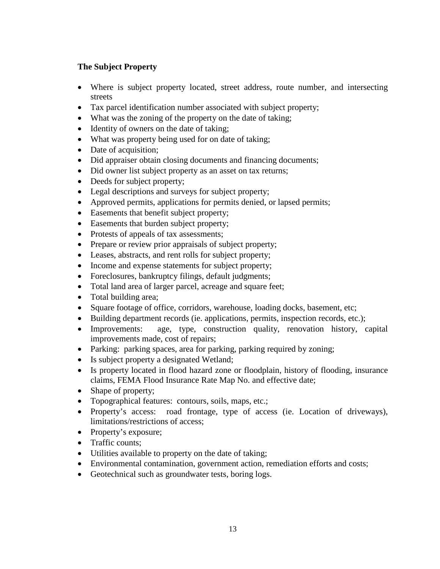## **The Subject Property**

- Where is subject property located, street address, route number, and intersecting streets
- Tax parcel identification number associated with subject property;
- What was the zoning of the property on the date of taking;
- Identity of owners on the date of taking;
- What was property being used for on date of taking;
- Date of acquisition;
- Did appraiser obtain closing documents and financing documents;
- Did owner list subject property as an asset on tax returns;
- Deeds for subject property;
- Legal descriptions and surveys for subject property;
- Approved permits, applications for permits denied, or lapsed permits;
- Easements that benefit subject property;
- Easements that burden subject property;
- Protests of appeals of tax assessments;
- Prepare or review prior appraisals of subject property;
- Leases, abstracts, and rent rolls for subject property;
- Income and expense statements for subject property;
- Foreclosures, bankruptcy filings, default judgments;
- Total land area of larger parcel, acreage and square feet;
- Total building area;
- Square footage of office, corridors, warehouse, loading docks, basement, etc;
- Building department records (ie. applications, permits, inspection records, etc.);
- Improvements: age, type, construction quality, renovation history, capital improvements made, cost of repairs;
- Parking: parking spaces, area for parking, parking required by zoning;
- Is subject property a designated Wetland;
- Is property located in flood hazard zone or floodplain, history of flooding, insurance claims, FEMA Flood Insurance Rate Map No. and effective date;
- Shape of property;
- Topographical features: contours, soils, maps, etc.;
- Property's access: road frontage, type of access (ie. Location of driveways), limitations/restrictions of access;
- Property's exposure;
- Traffic counts;
- Utilities available to property on the date of taking;
- Environmental contamination, government action, remediation efforts and costs;
- Geotechnical such as groundwater tests, boring logs.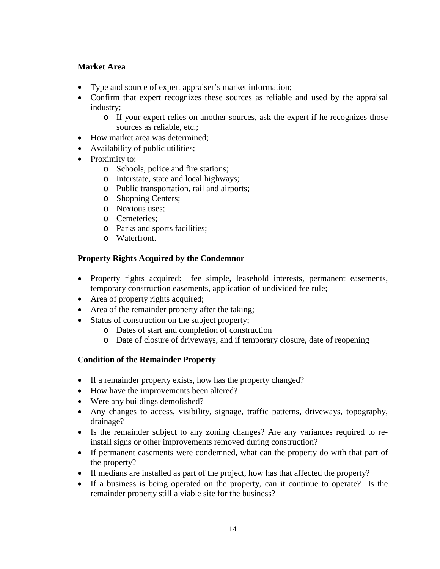## **Market Area**

- Type and source of expert appraiser's market information;
- Confirm that expert recognizes these sources as reliable and used by the appraisal industry;
	- o If your expert relies on another sources, ask the expert if he recognizes those sources as reliable, etc.;
- How market area was determined;
- Availability of public utilities;
- Proximity to:
	- o Schools, police and fire stations;
	- o Interstate, state and local highways;
	- o Public transportation, rail and airports;
	- o Shopping Centers;
	- o Noxious uses;
	- o Cemeteries;
	- o Parks and sports facilities;
	- o Waterfront.

# **Property Rights Acquired by the Condemnor**

- Property rights acquired: fee simple, leasehold interests, permanent easements, temporary construction easements, application of undivided fee rule;
- Area of property rights acquired;
- Area of the remainder property after the taking;
- Status of construction on the subject property;
	- o Dates of start and completion of construction
	- o Date of closure of driveways, and if temporary closure, date of reopening

# **Condition of the Remainder Property**

- If a remainder property exists, how has the property changed?
- How have the improvements been altered?
- Were any buildings demolished?
- Any changes to access, visibility, signage, traffic patterns, driveways, topography, drainage?
- Is the remainder subject to any zoning changes? Are any variances required to reinstall signs or other improvements removed during construction?
- If permanent easements were condemned, what can the property do with that part of the property?
- If medians are installed as part of the project, how has that affected the property?
- If a business is being operated on the property, can it continue to operate? Is the remainder property still a viable site for the business?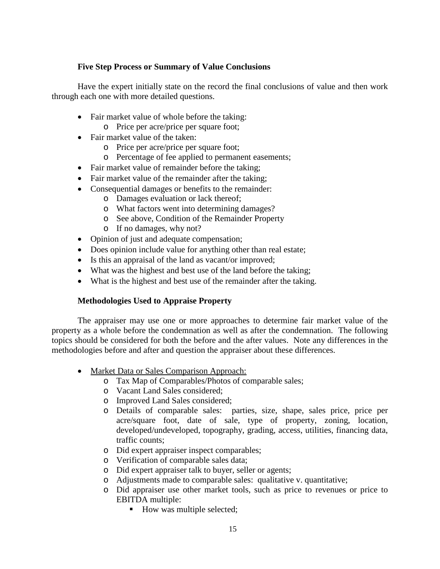### **Five Step Process or Summary of Value Conclusions**

Have the expert initially state on the record the final conclusions of value and then work through each one with more detailed questions.

- Fair market value of whole before the taking:
	- o Price per acre/price per square foot;
- Fair market value of the taken:
	- o Price per acre/price per square foot;
	- o Percentage of fee applied to permanent easements;
- Fair market value of remainder before the taking:
- Fair market value of the remainder after the taking;
- Consequential damages or benefits to the remainder:
	- o Damages evaluation or lack thereof;
	- o What factors went into determining damages?
	- o See above, Condition of the Remainder Property
	- o If no damages, why not?
- Opinion of just and adequate compensation;
- Does opinion include value for anything other than real estate;
- Is this an appraisal of the land as vacant/or improved;
- What was the highest and best use of the land before the taking;
- What is the highest and best use of the remainder after the taking.

### **Methodologies Used to Appraise Property**

The appraiser may use one or more approaches to determine fair market value of the property as a whole before the condemnation as well as after the condemnation. The following topics should be considered for both the before and the after values. Note any differences in the methodologies before and after and question the appraiser about these differences.

- Market Data or Sales Comparison Approach:
	- o Tax Map of Comparables/Photos of comparable sales;
	- o Vacant Land Sales considered;
	- o Improved Land Sales considered;
	- o Details of comparable sales: parties, size, shape, sales price, price per acre/square foot, date of sale, type of property, zoning, location, developed/undeveloped, topography, grading, access, utilities, financing data, traffic counts;
	- o Did expert appraiser inspect comparables;
	- o Verification of comparable sales data;
	- o Did expert appraiser talk to buyer, seller or agents;
	- o Adjustments made to comparable sales: qualitative v. quantitative;
	- o Did appraiser use other market tools, such as price to revenues or price to EBITDA multiple:
		- How was multiple selected;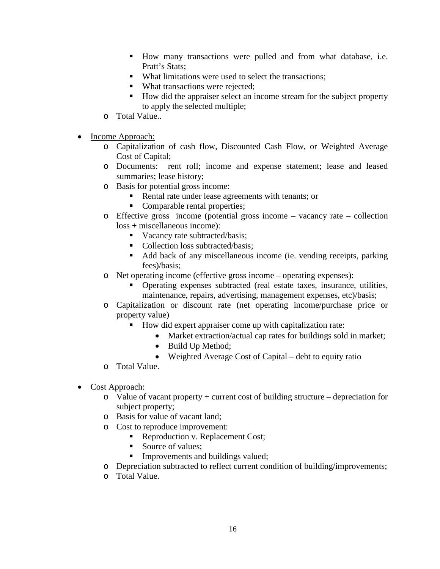- How many transactions were pulled and from what database, i.e. Pratt's Stats:
- What limitations were used to select the transactions;
- What transactions were rejected;
- How did the appraiser select an income stream for the subject property to apply the selected multiple;
- o Total Value..
- Income Approach:
	- o Capitalization of cash flow, Discounted Cash Flow, or Weighted Average Cost of Capital;
	- o Documents: rent roll; income and expense statement; lease and leased summaries; lease history;
	- o Basis for potential gross income:
		- Rental rate under lease agreements with tenants; or
		- Comparable rental properties;
	- o Effective gross income (potential gross income vacancy rate collection loss + miscellaneous income):
		- Vacancy rate subtracted/basis;
		- Collection loss subtracted/basis;
		- Add back of any miscellaneous income (ie. vending receipts, parking fees)/basis;
	- o Net operating income (effective gross income operating expenses):
		- Operating expenses subtracted (real estate taxes, insurance, utilities, maintenance, repairs, advertising, management expenses, etc)/basis;
	- o Capitalization or discount rate (net operating income/purchase price or property value)
		- How did expert appraiser come up with capitalization rate:
			- Market extraction/actual cap rates for buildings sold in market;
			- Build Up Method;
			- Weighted Average Cost of Capital debt to equity ratio
	- o Total Value.
- Cost Approach:
	- $\circ$  Value of vacant property + current cost of building structure depreciation for subject property;
	- o Basis for value of vacant land;
	- o Cost to reproduce improvement:
		- Reproduction v. Replacement Cost;
		- Source of values;
		- **Improvements and buildings valued;**
	- o Depreciation subtracted to reflect current condition of building/improvements;
	- o Total Value.